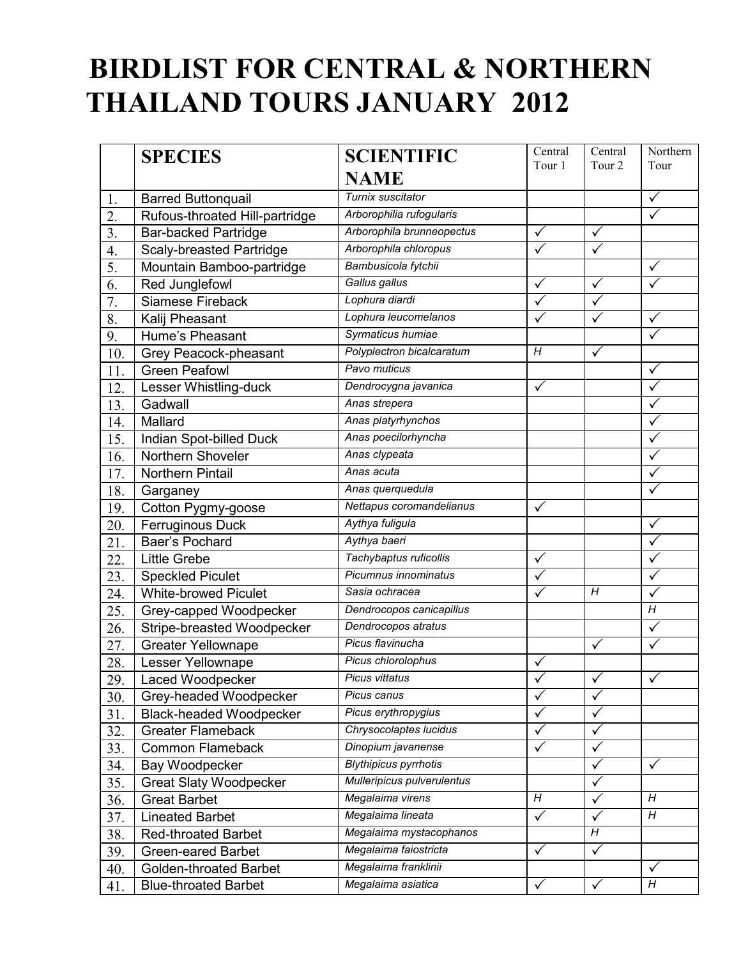# **BIRDLIST FOR CENTRAL & NORTHERN THAILAND TOURS JANUARY 2012**

|                  | <b>SPECIES</b>                  | <b>SCIENTIFIC</b>            | Central<br>Tour 1 | Central                 | Northern<br>Tour |
|------------------|---------------------------------|------------------------------|-------------------|-------------------------|------------------|
|                  |                                 | <b>NAME</b>                  |                   | Tour <sub>2</sub>       |                  |
| 1.               | <b>Barred Buttonquail</b>       | Turnix suscitator            |                   |                         | $\checkmark$     |
| 2.               | Rufous-throated Hill-partridge  | Arborophilia rufogularis     |                   |                         | $\checkmark$     |
| 3.               | <b>Bar-backed Partridge</b>     | Arborophila brunneopectus    | $\checkmark$      | $\checkmark$            |                  |
| $\overline{4}$ . | <b>Scaly-breasted Partridge</b> | Arborophila chloropus        |                   | $\overline{\checkmark}$ |                  |
| 5.               | Mountain Bamboo-partridge       | Bambusicola fytchii          |                   |                         | $\checkmark$     |
| 6.               | Red Junglefowl                  | Gallus gallus                | $\checkmark$      | $\checkmark$            | $\checkmark$     |
| 7.               | Siamese Fireback                | Lophura diardi               |                   | $\sqrt{}$               |                  |
| 8.               | Kalij Pheasant                  | Lophura leucomelanos         |                   | ✓                       | $\checkmark$     |
| 9.               | Hume's Pheasant                 | Syrmaticus humiae            |                   |                         | $\checkmark$     |
| 10.              | Grey Peacock-pheasant           | Polyplectron bicalcaratum    | H                 | $\checkmark$            |                  |
| 11.              | <b>Green Peafowl</b>            | Pavo muticus                 |                   |                         | $\checkmark$     |
| 12.              | Lesser Whistling-duck           | Dendrocygna javanica         | $\checkmark$      |                         |                  |
| 13.              | Gadwall                         | Anas strepera                |                   |                         | $\checkmark$     |
| 14.              | Mallard                         | Anas platyrhynchos           |                   |                         | $\checkmark$     |
| 15.              | Indian Spot-billed Duck         | Anas poecilorhyncha          |                   |                         |                  |
| 16.              | Northern Shoveler               | Anas clypeata                |                   |                         |                  |
| 17.              | Northern Pintail                | Anas acuta                   |                   |                         | ✓                |
| 18.              | Garganey                        | Anas querquedula             |                   |                         | $\checkmark$     |
| 19.              | Cotton Pygmy-goose              | Nettapus coromandelianus     | $\checkmark$      |                         |                  |
| 20.              | Ferruginous Duck                | Aythya fuligula              |                   |                         | $\checkmark$     |
| 21.              | Baer's Pochard                  | Aythya baeri                 |                   |                         | $\checkmark$     |
| 22.              | Little Grebe                    | Tachybaptus ruficollis       | $\checkmark$      |                         | $\checkmark$     |
| 23.              | <b>Speckled Piculet</b>         | Picumnus innominatus         |                   |                         | $\checkmark$     |
| 24.              | <b>White-browed Piculet</b>     | Sasia ochracea               |                   | H                       | $\checkmark$     |
| 25.              | Grey-capped Woodpecker          | Dendrocopos canicapillus     |                   |                         | $\boldsymbol{H}$ |
| 26.              | Stripe-breasted Woodpecker      | Dendrocopos atratus          |                   |                         | $\sqrt{}$        |
| 27.              | <b>Greater Yellownape</b>       | Picus flavinucha             |                   |                         |                  |
| 28.              | Lesser Yellownape               | Picus chlorolophus           | ✓                 |                         |                  |
| 29               | Laced Woodpecker                | <b>Picus vittatus</b>        | $\checkmark$      | $\checkmark$            | $\checkmark$     |
| 30.              | Grey-headed Woodpecker          | Picus canus                  | $\checkmark$      | ✓                       |                  |
| 31.              | <b>Black-headed Woodpecker</b>  | Picus erythropygius          |                   | ✓                       |                  |
| 32.              | <b>Greater Flameback</b>        | Chrysocolaptes lucidus       |                   |                         |                  |
| 33.              | <b>Common Flameback</b>         | Dinopium javanense           | $\checkmark$      | ✓                       |                  |
| 34.              | Bay Woodpecker                  | <b>Blythipicus pyrrhotis</b> |                   | $\checkmark$            | $\checkmark$     |
| 35.              | <b>Great Slaty Woodpecker</b>   | Mulleripicus pulverulentus   |                   | ✓                       |                  |
| 36.              | <b>Great Barbet</b>             | Megalaima virens             | $H_{\rm}$         | ✓                       | H                |
| 37.              | <b>Lineated Barbet</b>          | Megalaima lineata            | $\checkmark$      | $\checkmark$            | $\overline{H}$   |
| 38.              | <b>Red-throated Barbet</b>      | Megalaima mystacophanos      |                   | $H_{\rm}$               |                  |
| 39.              | <b>Green-eared Barbet</b>       | Megalaima faiostricta        | $\checkmark$      | $\checkmark$            |                  |
| 40.              | <b>Golden-throated Barbet</b>   | Megalaima franklinii         |                   |                         | $\checkmark$     |
| 41.              | <b>Blue-throated Barbet</b>     | Megalaima asiatica           | $\checkmark$      | $\checkmark$            | $\overline{H}$   |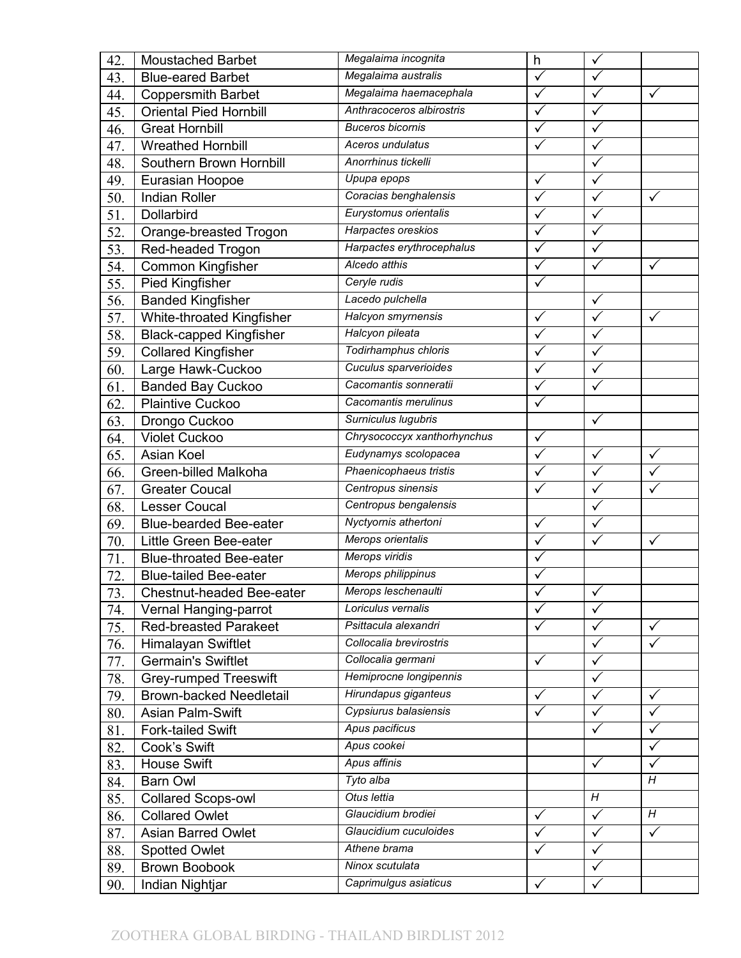| 42. | <b>Moustached Barbet</b>       | Megalaima incognita         | h            | $\checkmark$            |              |
|-----|--------------------------------|-----------------------------|--------------|-------------------------|--------------|
| 43. | <b>Blue-eared Barbet</b>       | Megalaima australis         | $\checkmark$ | $\checkmark$            |              |
| 44. | <b>Coppersmith Barbet</b>      | Megalaima haemacephala      | $\checkmark$ | $\checkmark$            | $\checkmark$ |
| 45. | Oriental Pied Hornbill         | Anthracoceros albirostris   | $\checkmark$ | $\checkmark$            |              |
| 46. | <b>Great Hornbill</b>          | <b>Buceros bicornis</b>     |              | $\overline{\checkmark}$ |              |
| 47. | <b>Wreathed Hornbill</b>       | Aceros undulatus            |              | $\checkmark$            |              |
| 48. | Southern Brown Hornbill        | Anorrhinus tickelli         |              | $\checkmark$            |              |
| 49. | Eurasian Hoopoe                | Upupa epops                 | $\checkmark$ | $\checkmark$            |              |
| 50. | <b>Indian Roller</b>           | Coracias benghalensis       |              | $\checkmark$            | ✓            |
| 51. | Dollarbird                     | Eurystomus orientalis       | $\checkmark$ | $\checkmark$            |              |
| 52. | Orange-breasted Trogon         | Harpactes oreskios          | $\checkmark$ | $\checkmark$            |              |
| 53. | Red-headed Trogon              | Harpactes erythrocephalus   | $\checkmark$ | $\checkmark$            |              |
| 54. | <b>Common Kingfisher</b>       | Alcedo atthis               | $\checkmark$ | $\checkmark$            | ✓            |
| 55. | Pied Kingfisher                | Ceryle rudis                |              |                         |              |
| 56. | <b>Banded Kingfisher</b>       | Lacedo pulchella            |              | $\checkmark$            |              |
| 57. | White-throated Kingfisher      | Halcyon smyrnensis          | $\checkmark$ | $\sqrt{}$               | $\checkmark$ |
| 58. | <b>Black-capped Kingfisher</b> | Halcyon pileata             | ✓            | $\checkmark$            |              |
| 59. | <b>Collared Kingfisher</b>     | Todirhamphus chloris        | $\checkmark$ | $\checkmark$            |              |
| 60. | Large Hawk-Cuckoo              | Cuculus sparverioides       | $\checkmark$ | $\checkmark$            |              |
| 61. | Banded Bay Cuckoo              | Cacomantis sonneratii       |              | $\checkmark$            |              |
| 62. | <b>Plaintive Cuckoo</b>        | Cacomantis merulinus        |              |                         |              |
| 63. | Drongo Cuckoo                  | Surniculus lugubris         |              | $\checkmark$            |              |
| 64. | <b>Violet Cuckoo</b>           | Chrysococcyx xanthorhynchus | ✓            |                         |              |
| 65. | Asian Koel                     | Eudynamys scolopacea        |              | $\checkmark$            | $\checkmark$ |
| 66. | Green-billed Malkoha           | Phaenicophaeus tristis      |              | $\checkmark$            | $\checkmark$ |
| 67. | <b>Greater Coucal</b>          | Centropus sinensis          | ✓            | $\checkmark$            | ✓            |
| 68. | <b>Lesser Coucal</b>           | Centropus bengalensis       |              | $\overline{\checkmark}$ |              |
| 69. | <b>Blue-bearded Bee-eater</b>  | Nyctyornis athertoni        | ✓            | $\checkmark$            |              |
| 70. | Little Green Bee-eater         | Merops orientalis           |              | $\checkmark$            | $\checkmark$ |
| 71. | <b>Blue-throated Bee-eater</b> | Merops viridis              | $\checkmark$ |                         |              |
| 72. | <b>Blue-tailed Bee-eater</b>   | Merops philippinus          | ٧            |                         |              |
| 73. | Chestnut-headed Bee-eater      | Merops leschenaulti         |              | ✓                       |              |
| 74. | Vernal Hanging-parrot          | Loriculus vernalis          | $\checkmark$ | $\overline{\checkmark}$ |              |
| 75. | <b>Red-breasted Parakeet</b>   | Psittacula alexandri        | $\checkmark$ | $\checkmark$            | ✓            |
| 76. | Himalayan Swiftlet             | Collocalia brevirostris     |              | $\checkmark$            | $\checkmark$ |
| 77. | <b>Germain's Swiftlet</b>      | Collocalia germani          | $\checkmark$ | $\checkmark$            |              |
| 78. | <b>Grey-rumped Treeswift</b>   | Hemiprocne longipennis      |              | $\checkmark$            |              |
| 79. | <b>Brown-backed Needletail</b> | Hirundapus giganteus        | $\checkmark$ | $\checkmark$            | $\checkmark$ |
| 80. | Asian Palm-Swift               | Cypsiurus balasiensis       |              | ✓                       | ✓            |
| 81. | Fork-tailed Swift              | Apus pacificus              |              | $\checkmark$            | ✓            |
| 82. | Cook's Swift                   | Apus cookei                 |              |                         | $\checkmark$ |
| 83. | <b>House Swift</b>             | Apus affinis                |              | $\checkmark$            | ✓            |
| 84. | <b>Barn Owl</b>                | Tyto alba                   |              |                         | Η            |
| 85. | <b>Collared Scops-owl</b>      | Otus lettia                 |              | H                       |              |
| 86. | <b>Collared Owlet</b>          | Glaucidium brodiei          | $\checkmark$ | $\checkmark$            | H            |
| 87. | Asian Barred Owlet             | Glaucidium cuculoides       | $\checkmark$ | $\checkmark$            | $\checkmark$ |
| 88. | <b>Spotted Owlet</b>           | Athene brama                |              | $\checkmark$            |              |
| 89. | Brown Boobook                  | Ninox scutulata             |              | $\checkmark$            |              |
| 90. | Indian Nightjar                | Caprimulgus asiaticus       | $\checkmark$ | $\checkmark$            |              |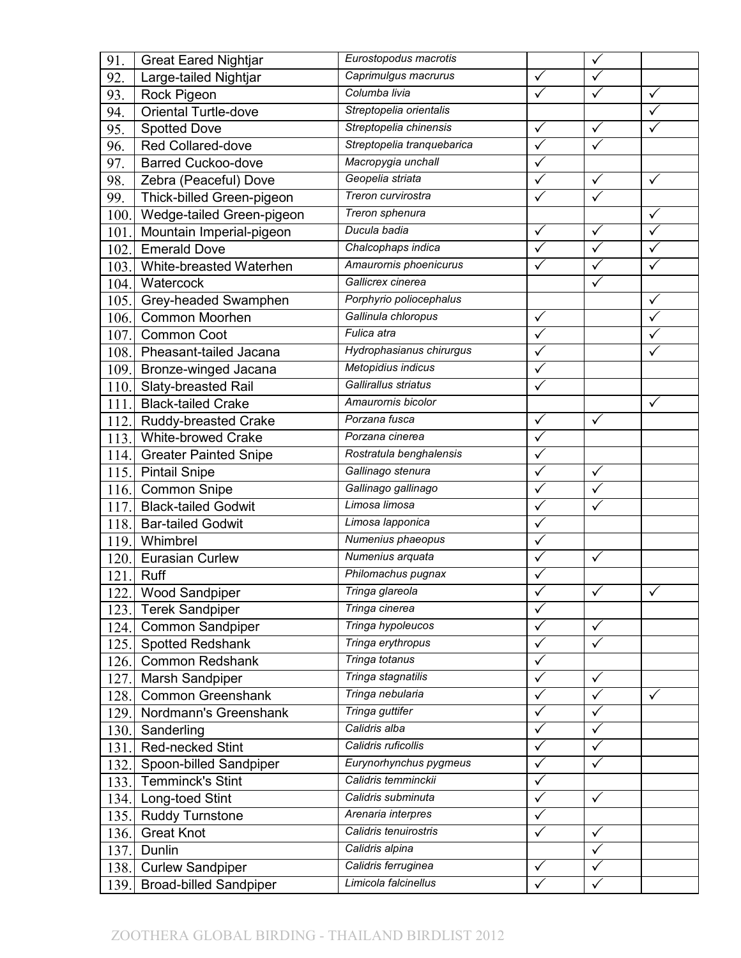| 91.  | <b>Great Eared Nightjar</b>   | Eurostopodus macrotis      |                         | $\checkmark$ |              |
|------|-------------------------------|----------------------------|-------------------------|--------------|--------------|
| 92.  | Large-tailed Nightjar         | Caprimulgus macrurus       | $\checkmark$            | $\checkmark$ |              |
| 93.  | Rock Pigeon                   | Columba livia              | $\overline{\checkmark}$ | $\checkmark$ | $\checkmark$ |
| 94.  | <b>Oriental Turtle-dove</b>   | Streptopelia orientalis    |                         |              | $\checkmark$ |
| 95.  | <b>Spotted Dove</b>           | Streptopelia chinensis     | $\checkmark$            | $\checkmark$ |              |
| 96.  | Red Collared-dove             | Streptopelia tranquebarica | ✓                       | $\checkmark$ |              |
| 97.  | <b>Barred Cuckoo-dove</b>     | Macropygia unchall         | $\checkmark$            |              |              |
| 98.  | Zebra (Peaceful) Dove         | Geopelia striata           | $\checkmark$            | $\checkmark$ | ✓            |
| 99.  | Thick-billed Green-pigeon     | Treron curvirostra         |                         |              |              |
| 100. | Wedge-tailed Green-pigeon     | Treron sphenura            |                         |              | ✓            |
| 101. | Mountain Imperial-pigeon      | Ducula badia               | ✓                       | $\checkmark$ | $\checkmark$ |
| 102. | <b>Emerald Dove</b>           | Chalcophaps indica         |                         | $\checkmark$ | $\checkmark$ |
| 103. | White-breasted Waterhen       | Amaurornis phoenicurus     |                         | $\checkmark$ | $\checkmark$ |
| 104. | Watercock                     | Gallicrex cinerea          |                         | $\checkmark$ |              |
| 105. | Grey-headed Swamphen          | Porphyrio poliocephalus    |                         |              | $\checkmark$ |
| 106. | Common Moorhen                | Gallinula chloropus        | $\checkmark$            |              |              |
| 107. | Common Coot                   | Fulica atra                | ✓                       |              | ✓            |
| 108. | Pheasant-tailed Jacana        | Hydrophasianus chirurgus   | ✓                       |              | ✓            |
| 109. | Bronze-winged Jacana          | Metopidius indicus         | $\checkmark$            |              |              |
| 110. | Slaty-breasted Rail           | Gallirallus striatus       |                         |              |              |
| 111. | <b>Black-tailed Crake</b>     | Amaurornis bicolor         |                         |              | $\checkmark$ |
| 112. | Ruddy-breasted Crake          | Porzana fusca              | $\checkmark$            | $\checkmark$ |              |
| 113. | <b>White-browed Crake</b>     | Porzana cinerea            | $\checkmark$            |              |              |
| 114. | <b>Greater Painted Snipe</b>  | Rostratula benghalensis    |                         |              |              |
| 115. | <b>Pintail Snipe</b>          | Gallinago stenura          |                         | $\checkmark$ |              |
| 116. | Common Snipe                  | Gallinago gallinago        | $\checkmark$            | $\checkmark$ |              |
| 117. | <b>Black-tailed Godwit</b>    | Limosa limosa              |                         |              |              |
| 118. | <b>Bar-tailed Godwit</b>      | Limosa lapponica           |                         |              |              |
| 119. | Whimbrel                      | Numenius phaeopus          |                         |              |              |
| 120. | <b>Eurasian Curlew</b>        | Numenius arquata           | $\checkmark$            | $\checkmark$ |              |
| 121. | <b>Ruff</b>                   | Philomachus pugnax         | ✓                       |              |              |
| 122. | Wood Sandpiper                | Tringa glareola            |                         | ✓            | $\sqrt{2}$   |
| 123. | <b>Terek Sandpiper</b>        | Tringa cinerea             | $\checkmark$            |              |              |
| 124. | Common Sandpiper              | Tringa hypoleucos          | $\checkmark$            | $\checkmark$ |              |
| 125. | Spotted Redshank              | Tringa erythropus          | $\checkmark$            | $\sqrt{}$    |              |
| 126. | <b>Common Redshank</b>        | Tringa totanus             | ✓                       |              |              |
| 127. | Marsh Sandpiper               | Tringa stagnatilis         | ✓                       | $\checkmark$ |              |
| 128. | <b>Common Greenshank</b>      | Tringa nebularia           | $\checkmark$            | $\checkmark$ | $\checkmark$ |
| 129. | Nordmann's Greenshank         | Tringa guttifer            |                         | ✓            |              |
| 130. | Sanderling                    | Calidris alba              | ✓                       | $\checkmark$ |              |
| 131. | Red-necked Stint              | Calidris ruficollis        | $\checkmark$            | $\checkmark$ |              |
| 132. | Spoon-billed Sandpiper        | Eurynorhynchus pygmeus     | $\checkmark$            | $\checkmark$ |              |
| 133. | <b>Temminck's Stint</b>       | Calidris temminckii        | $\checkmark$            |              |              |
| 134. | Long-toed Stint               | Calidris subminuta         |                         | $\checkmark$ |              |
| 135. | <b>Ruddy Turnstone</b>        | Arenaria interpres         | ✓                       |              |              |
| 136. | <b>Great Knot</b>             | Calidris tenuirostris      | $\checkmark$            | $\checkmark$ |              |
| 137. | Dunlin                        | Calidris alpina            |                         | $\checkmark$ |              |
| 138. | <b>Curlew Sandpiper</b>       | Calidris ferruginea        | $\checkmark$            | $\checkmark$ |              |
| 139. | <b>Broad-billed Sandpiper</b> | Limicola falcinellus       | $\checkmark$            | $\checkmark$ |              |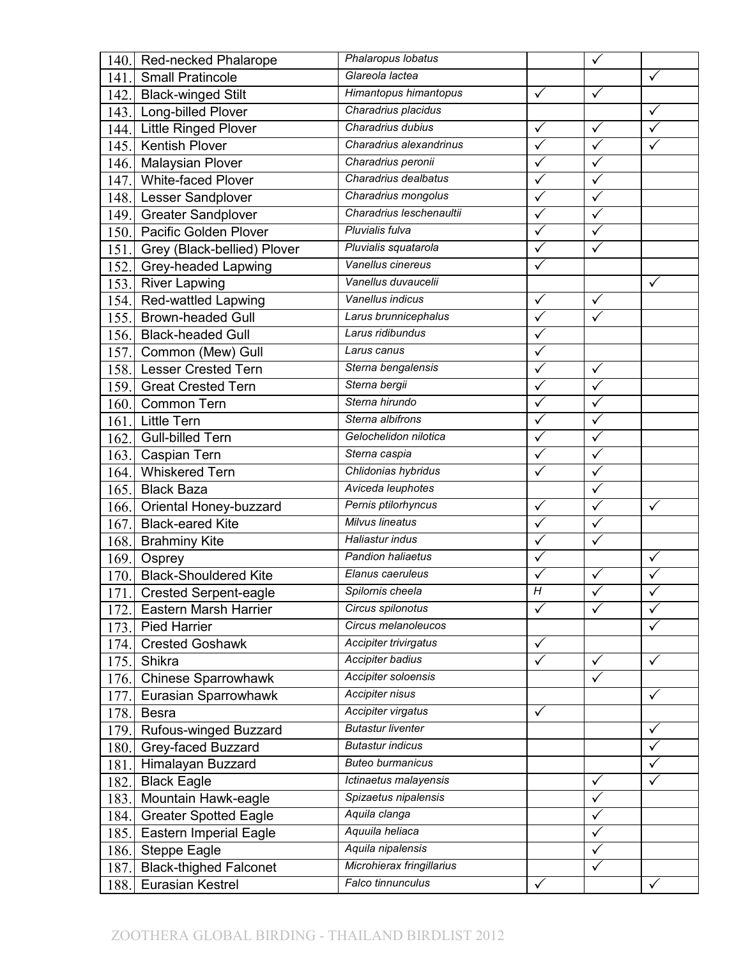| <b>Red-necked Phalarope</b><br>140.   | Phalaropus lobatus        |                | $\checkmark$            |              |
|---------------------------------------|---------------------------|----------------|-------------------------|--------------|
| <b>Small Pratincole</b><br>141.       | Glareola lactea           |                |                         | $\checkmark$ |
| <b>Black-winged Stilt</b><br>142.     | Himantopus himantopus     | $\checkmark$   | $\checkmark$            |              |
| Long-billed Plover<br>143.            | Charadrius placidus       |                |                         | ✓            |
| Little Ringed Plover<br>144.          | Charadrius dubius         | $\checkmark$   | $\checkmark$            | $\checkmark$ |
| <b>Kentish Plover</b><br>145.         | Charadrius alexandrinus   | $\checkmark$   | $\checkmark$            | ✓            |
| <b>Malaysian Plover</b><br>146.       | Charadrius peronii        | $\checkmark$   | $\checkmark$            |              |
| <b>White-faced Plover</b><br>147.     | Charadrius dealbatus      | $\checkmark$   | $\checkmark$            |              |
| Lesser Sandplover<br>148.             | Charadrius mongolus       |                | $\checkmark$            |              |
| <b>Greater Sandplover</b><br>149.     | Charadrius leschenaultii  | $\checkmark$   | $\checkmark$            |              |
| Pacific Golden Plover<br>150.         | Pluvialis fulva           | ✓              | $\checkmark$            |              |
| Grey (Black-bellied) Plover<br>151.   | Pluvialis squatarola      |                | $\checkmark$            |              |
| Grey-headed Lapwing<br>152.           | Vanellus cinereus         |                |                         |              |
| 153.<br><b>River Lapwing</b>          | Vanellus duvaucelii       |                |                         | $\checkmark$ |
| <b>Red-wattled Lapwing</b><br>154.    | Vanellus indicus          | $\checkmark$   | $\checkmark$            |              |
| <b>Brown-headed Gull</b><br>155.      | Larus brunnicephalus      | $\checkmark$   | $\overline{\checkmark}$ |              |
| 156. Black-headed Gull                | Larus ridibundus          | ✓              |                         |              |
| 157.<br>Common (Mew) Gull             | Larus canus               | $\checkmark$   |                         |              |
| <b>Lesser Crested Tern</b><br>158.    | Sterna bengalensis        | $\checkmark$   | $\checkmark$            |              |
| <b>Great Crested Tern</b><br>159.     | Sterna bergii             |                | $\checkmark$            |              |
| 160. Common Tern                      | Sterna hirundo            | $\checkmark$   | $\checkmark$            |              |
| <b>Little Tern</b><br>161.            | Sterna albifrons          | $\checkmark$   | $\checkmark$            |              |
| <b>Gull-billed Tern</b><br>162.       | Gelochelidon nilotica     | $\checkmark$   | $\checkmark$            |              |
| Caspian Tern<br>163.                  | Sterna caspia             |                | $\checkmark$            |              |
| <b>Whiskered Tern</b><br>164.         | Chlidonias hybridus       |                | $\checkmark$            |              |
| <b>Black Baza</b><br>165.             | Aviceda leuphotes         |                | $\checkmark$            |              |
| Oriental Honey-buzzard<br>166.        | Pernis ptilorhyncus       | $\checkmark$   | $\overline{\checkmark}$ | $\checkmark$ |
| <b>Black-eared Kite</b><br>167.       | <b>Milvus lineatus</b>    |                | ✓                       |              |
| 168. Brahminy Kite                    | Haliastur indus           |                | $\checkmark$            |              |
| 169. Osprey                           | Pandion haliaetus         | $\checkmark$   |                         | $\checkmark$ |
| <b>Black-Shouldered Kite</b><br>170.  | Elanus caeruleus          |                | $\checkmark$            | ✓            |
| 171.<br>Crested Serpent-eagle         | Spilornis cheela          | $\overline{H}$ | ✓                       |              |
| Eastern Marsh Harrier<br>172.         | Circus spilonotus         | $\checkmark$   | $\overline{\checkmark}$ | $\checkmark$ |
| <b>Pied Harrier</b><br>173.           | Circus melanoleucos       |                |                         | ✓            |
| <b>Crested Goshawk</b><br>174.        | Accipiter trivirgatus     | $\checkmark$   |                         |              |
| 175.<br>Shikra                        | Accipiter badius          | $\checkmark$   | $\checkmark$            | ✓            |
| <b>Chinese Sparrowhawk</b><br>176.    | Accipiter soloensis       |                | $\checkmark$            |              |
| Eurasian Sparrowhawk<br>177.          | Accipiter nisus           |                |                         | $\checkmark$ |
| <b>Besra</b><br>178.                  | Accipiter virgatus        | ✓              |                         |              |
| Rufous-winged Buzzard<br>179.         | <b>Butastur liventer</b>  |                |                         | ✓            |
| Grey-faced Buzzard<br>180.            | <b>Butastur indicus</b>   |                |                         | $\checkmark$ |
| Himalayan Buzzard<br>181.             | <b>Buteo burmanicus</b>   |                |                         | ✓            |
| <b>Black Eagle</b><br>182.            | Ictinaetus malayensis     |                | $\checkmark$            | ✓            |
| Mountain Hawk-eagle<br>183.           | Spizaetus nipalensis      |                | $\checkmark$            |              |
| <b>Greater Spotted Eagle</b><br>184.  | Aquila clanga             |                | $\checkmark$            |              |
| <b>Eastern Imperial Eagle</b><br>185. | Aquuila heliaca           |                | $\checkmark$            |              |
| <b>Steppe Eagle</b><br>186.           | Aquila nipalensis         |                | ✓                       |              |
| <b>Black-thighed Falconet</b><br>187. | Microhierax fringillarius |                | $\checkmark$            |              |
| Eurasian Kestrel<br>188.              | Falco tinnunculus         | $\checkmark$   |                         | $\checkmark$ |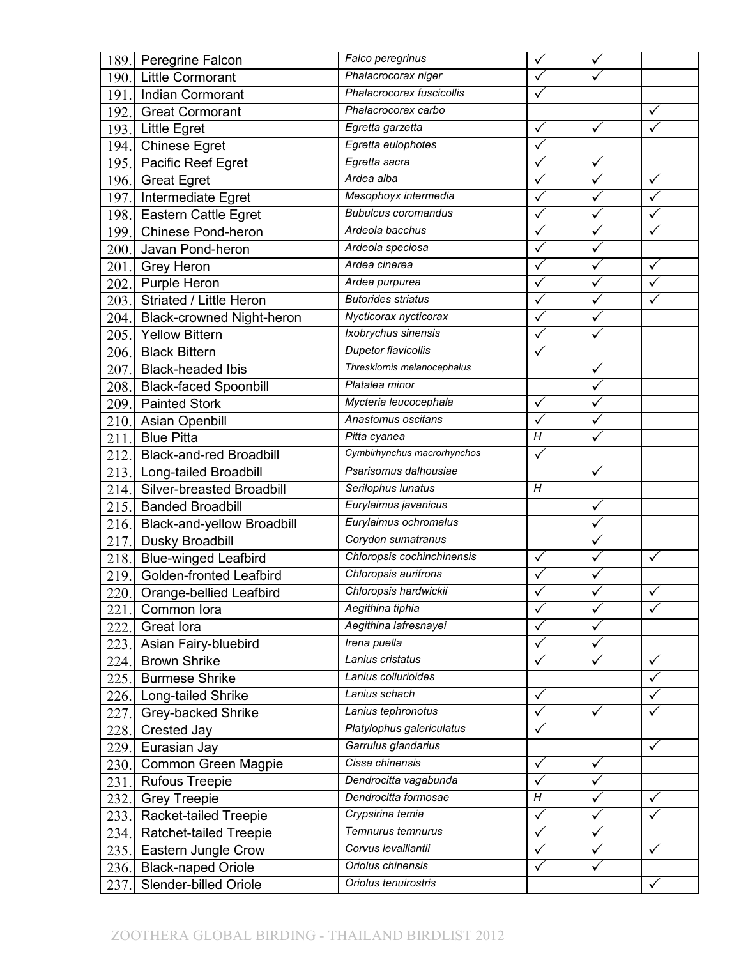| 189. | Peregrine Falcon                 | Falco peregrinus            | $\checkmark$          | $\checkmark$ |                         |
|------|----------------------------------|-----------------------------|-----------------------|--------------|-------------------------|
| 190. | Little Cormorant                 | Phalacrocorax niger         |                       | $\checkmark$ |                         |
| 191. | Indian Cormorant                 | Phalacrocorax fuscicollis   | $\checkmark$          |              |                         |
| 192. | <b>Great Cormorant</b>           | Phalacrocorax carbo         |                       |              | ✓                       |
| 193. | <b>Little Egret</b>              | Egretta garzetta            | $\checkmark$          | $\checkmark$ |                         |
| 194. | <b>Chinese Egret</b>             | Egretta eulophotes          | ✓                     |              |                         |
| 195. | Pacific Reef Egret               | Egretta sacra               | $\checkmark$          | $\checkmark$ |                         |
| 196. | <b>Great Egret</b>               | Ardea alba                  | $\checkmark$          | $\checkmark$ | $\checkmark$            |
| 197. | Intermediate Egret               | Mesophoyx intermedia        |                       |              | $\checkmark$            |
| 198. | <b>Eastern Cattle Egret</b>      | <b>Bubulcus coromandus</b>  | $\checkmark$          | $\checkmark$ | $\checkmark$            |
| 199. | <b>Chinese Pond-heron</b>        | Ardeola bacchus             | $\checkmark$          | $\checkmark$ | $\checkmark$            |
| 200. | Javan Pond-heron                 | Ardeola speciosa            |                       | $\checkmark$ |                         |
|      | 201. Grey Heron                  | Ardea cinerea               |                       | $\checkmark$ | $\checkmark$            |
| 202. | Purple Heron                     | Ardea purpurea              |                       | $\checkmark$ | $\checkmark$            |
| 203. | Striated / Little Heron          | <b>Butorides striatus</b>   | $\checkmark$          | $\checkmark$ |                         |
| 204. | <b>Black-crowned Night-heron</b> | Nycticorax nycticorax       | $\overline{\sqrt{ }}$ | $\checkmark$ |                         |
| 205. | <b>Yellow Bittern</b>            | Ixobrychus sinensis         |                       | $\checkmark$ |                         |
| 206. | <b>Black Bittern</b>             | <b>Dupetor flavicollis</b>  | $\checkmark$          |              |                         |
| 207. | <b>Black-headed Ibis</b>         | Threskiornis melanocephalus |                       | $\checkmark$ |                         |
| 208. | <b>Black-faced Spoonbill</b>     | Platalea minor              |                       | $\checkmark$ |                         |
| 209. | <b>Painted Stork</b>             | Mycteria leucocephala       | $\checkmark$          | $\checkmark$ |                         |
| 210. | Asian Openbill                   | Anastomus oscitans          | $\checkmark$          | $\checkmark$ |                         |
| 211. | <b>Blue Pitta</b>                | Pitta cyanea                | H                     | $\checkmark$ |                         |
| 212. | <b>Black-and-red Broadbill</b>   | Cymbirhynchus macrorhynchos |                       |              |                         |
| 213. | Long-tailed Broadbill            | Psarisomus dalhousiae       |                       | $\checkmark$ |                         |
| 214. | Silver-breasted Broadbill        | Serilophus lunatus          | H                     |              |                         |
| 215. | <b>Banded Broadbill</b>          | Eurylaimus javanicus        |                       | $\checkmark$ |                         |
| 216. | Black-and-yellow Broadbill       | Eurylaimus ochromalus       |                       |              |                         |
| 217. | Dusky Broadbill                  | Corydon sumatranus          |                       | $\checkmark$ |                         |
| 218. | <b>Blue-winged Leafbird</b>      | Chloropsis cochinchinensis  | $\checkmark$          | $\checkmark$ | $\checkmark$            |
| 219. | <b>Golden-fronted Leafbird</b>   | Chloropsis aurifrons        | ✓                     | $\checkmark$ |                         |
|      | 220. Orange-bellied Leafbird     | Chloropsis hardwickii       |                       | ╱            | ✓                       |
| 221. | Common lora                      | Aegithina tiphia            | $\checkmark$          | $\sqrt{}$    | $\overline{\checkmark}$ |
| 222. | Great lora                       | Aegithina lafresnayei       | $\checkmark$          | $\checkmark$ |                         |
| 223. | Asian Fairy-bluebird             | Irena puella                | $\checkmark$          | $\checkmark$ |                         |
| 224. | <b>Brown Shrike</b>              | Lanius cristatus            | ✓                     | ✓            | $\checkmark$            |
| 225. | <b>Burmese Shrike</b>            | Lanius collurioides         |                       |              | $\checkmark$            |
|      | 226. Long-tailed Shrike          | Lanius schach               | $\checkmark$          |              | $\checkmark$            |
| 227. | Grey-backed Shrike               | Lanius tephronotus          | ✓                     | $\checkmark$ | ✓                       |
| 228. | Crested Jay                      | Platylophus galericulatus   | ✓                     |              |                         |
| 229. | Eurasian Jay                     | Garrulus glandarius         |                       |              | $\checkmark$            |
| 230. | Common Green Magpie              | Cissa chinensis             | ✓                     | $\checkmark$ |                         |
| 231. | <b>Rufous Treepie</b>            | Dendrocitta vagabunda       | $\checkmark$          | $\checkmark$ |                         |
| 232. | <b>Grey Treepie</b>              | Dendrocitta formosae        | $\overline{H}$        | $\checkmark$ | ✓                       |
| 233. | Racket-tailed Treepie            | Crypsirina temia            | $\checkmark$          | $\checkmark$ |                         |
| 234. | Ratchet-tailed Treepie           | Temnurus temnurus           | $\checkmark$          | $\checkmark$ |                         |
| 235. | Eastern Jungle Crow              | Corvus levaillantii         | ✓                     | $\checkmark$ | ✓                       |
| 236. | <b>Black-naped Oriole</b>        | Oriolus chinensis           | ✓                     | $\checkmark$ |                         |
| 237. | Slender-billed Oriole            | Oriolus tenuirostris        |                       |              | $\checkmark$            |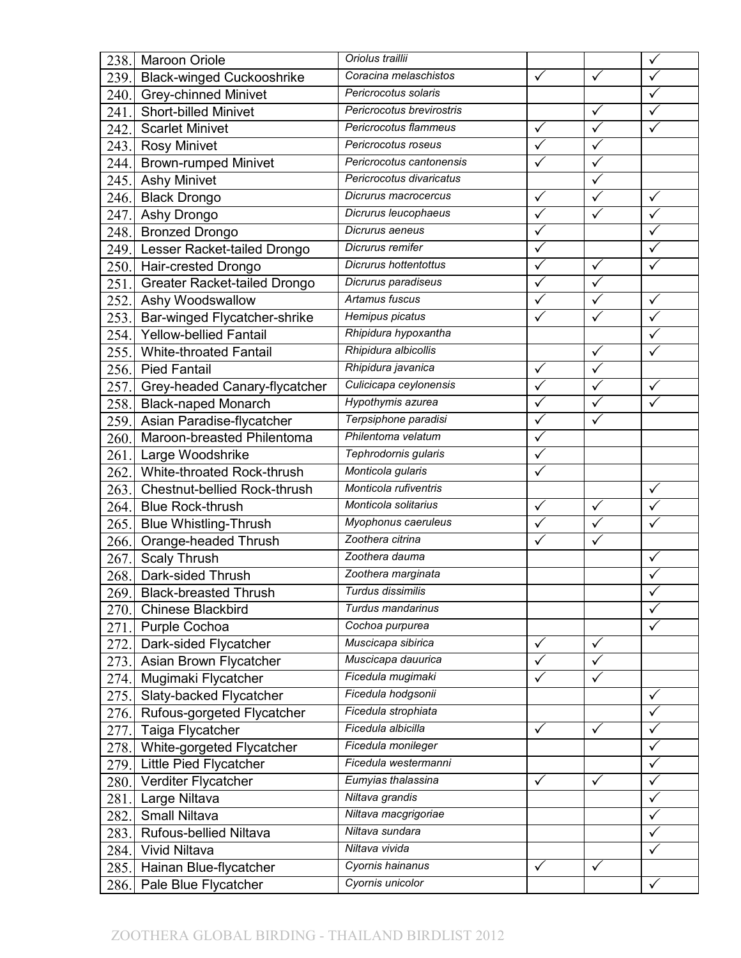| 238. | Maroon Oriole                    | Oriolus traillii          |              |              | $\checkmark$            |
|------|----------------------------------|---------------------------|--------------|--------------|-------------------------|
| 239. | <b>Black-winged Cuckooshrike</b> | Coracina melaschistos     | $\checkmark$ | $\checkmark$ | $\checkmark$            |
| 240. | Grey-chinned Minivet             | Pericrocotus solaris      |              |              | $\checkmark$            |
| 241. | <b>Short-billed Minivet</b>      | Pericrocotus brevirostris |              | $\checkmark$ | $\checkmark$            |
| 242. | <b>Scarlet Minivet</b>           | Pericrocotus flammeus     | $\checkmark$ | $\sqrt{}$    | $\checkmark$            |
| 243. | <b>Rosy Minivet</b>              | Pericrocotus roseus       | ✓            | $\checkmark$ |                         |
| 244. | <b>Brown-rumped Minivet</b>      | Pericrocotus cantonensis  |              | $\checkmark$ |                         |
| 245. | <b>Ashy Minivet</b>              | Pericrocotus divaricatus  |              | $\sqrt{}$    |                         |
| 246. | <b>Black Drongo</b>              | Dicrurus macrocercus      | ✓            | ✓            | $\checkmark$            |
| 247. | Ashy Drongo                      | Dicrurus leucophaeus      | $\checkmark$ | $\checkmark$ | $\checkmark$            |
| 248. | <b>Bronzed Drongo</b>            | Dicrurus aeneus           | $\checkmark$ |              | $\checkmark$            |
| 249. | Lesser Racket-tailed Drongo      | Dicrurus remifer          | ✓            |              | $\checkmark$            |
|      | 250. Hair-crested Drongo         | Dicrurus hottentottus     |              | $\checkmark$ |                         |
| 251. | Greater Racket-tailed Drongo     | Dicrurus paradiseus       | ✓            | $\checkmark$ |                         |
| 252. | Ashy Woodswallow                 | Artamus fuscus            | $\checkmark$ | $\checkmark$ | $\checkmark$            |
| 253. | Bar-winged Flycatcher-shrike     | Hemipus picatus           |              | $\checkmark$ | $\checkmark$            |
| 254. | <b>Yellow-bellied Fantail</b>    | Rhipidura hypoxantha      |              |              | ✓                       |
| 255. | <b>White-throated Fantail</b>    | Rhipidura albicollis      |              | $\checkmark$ | $\checkmark$            |
| 256. | <b>Pied Fantail</b>              | Rhipidura javanica        | $\checkmark$ | $\sqrt{}$    |                         |
| 257. | Grey-headed Canary-flycatcher    | Culicicapa ceylonensis    | $\checkmark$ | $\checkmark$ | $\checkmark$            |
| 258. | <b>Black-naped Monarch</b>       | Hypothymis azurea         | $\checkmark$ | $\checkmark$ | ✓                       |
| 259. | Asian Paradise-flycatcher        | Terpsiphone paradisi      | $\checkmark$ | $\sqrt{ }$   |                         |
| 260. | Maroon-breasted Philentoma       | Philentoma velatum        | ✓            |              |                         |
| 261. | Large Woodshrike                 | Tephrodornis gularis      |              |              |                         |
| 262. | White-throated Rock-thrush       | Monticola gularis         |              |              |                         |
| 263. | Chestnut-bellied Rock-thrush     | Monticola rufiventris     |              |              | $\checkmark$            |
| 264. | <b>Blue Rock-thrush</b>          | Monticola solitarius      | $\checkmark$ | $\checkmark$ | $\overline{\checkmark}$ |
| 265. | <b>Blue Whistling-Thrush</b>     | Myophonus caeruleus       |              |              |                         |
| 266. | Orange-headed Thrush             | Zoothera citrina          |              | $\checkmark$ |                         |
| 267. | <b>Scaly Thrush</b>              | Zoothera dauma            |              |              | $\checkmark$            |
| 268. | Dark-sided Thrush                | Zoothera marginata        |              |              |                         |
| 269. | <b>Black-breasted Thrush</b>     | Turdus dissimilis         |              |              |                         |
| 270. | <b>Chinese Blackbird</b>         | Turdus mandarinus         |              |              | $\checkmark$            |
| 271. | Purple Cochoa                    | Cochoa purpurea           |              |              | ✓                       |
| 272. | Dark-sided Flycatcher            | Muscicapa sibirica        | $\checkmark$ | $\checkmark$ |                         |
| 273. | Asian Brown Flycatcher           | Muscicapa dauurica        | ✓            | ✓            |                         |
| 274. | Mugimaki Flycatcher              | Ficedula mugimaki         | $\checkmark$ | ✓            |                         |
| 275. | Slaty-backed Flycatcher          | Ficedula hodgsonii        |              |              | $\checkmark$            |
| 276. | Rufous-gorgeted Flycatcher       | Ficedula strophiata       |              |              |                         |
| 277. | Taiga Flycatcher                 | Ficedula albicilla        | $\checkmark$ | $\checkmark$ | ✓                       |
| 278. | White-gorgeted Flycatcher        | Ficedula monileger        |              |              | $\checkmark$            |
| 279. | Little Pied Flycatcher           | Ficedula westermanni      |              |              | ✓                       |
| 280. | Verditer Flycatcher              | Eumyias thalassina        | $\checkmark$ | $\checkmark$ | $\checkmark$            |
| 281. | Large Niltava                    | Niltava grandis           |              |              | $\checkmark$            |
| 282. | Small Niltava                    | Niltava macgrigoriae      |              |              | ✓                       |
| 283. | Rufous-bellied Niltava           | Niltava sundara           |              |              |                         |
| 284. | Vivid Niltava                    | Niltava vivida            |              |              |                         |
| 285. | Hainan Blue-flycatcher           | Cyornis hainanus          | $\checkmark$ | $\checkmark$ |                         |
| 286. | Pale Blue Flycatcher             | Cyornis unicolor          |              |              | $\checkmark$            |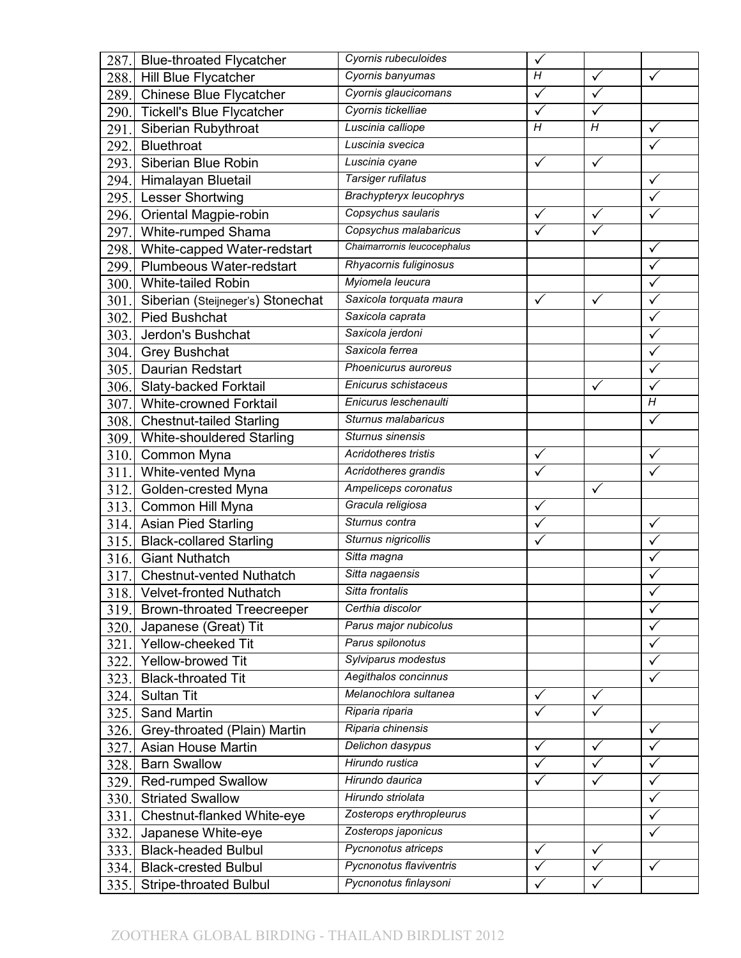| 287.         | <b>Blue-throated Flycatcher</b>                       | Cyornis rubeculoides                             | $\checkmark$                 |                              |                |
|--------------|-------------------------------------------------------|--------------------------------------------------|------------------------------|------------------------------|----------------|
| 288.         | Hill Blue Flycatcher                                  | Cyornis banyumas                                 | Η                            | $\checkmark$                 | $\checkmark$   |
| 289.         | <b>Chinese Blue Flycatcher</b>                        | Cyornis glaucicomans                             | $\checkmark$                 | $\overline{\sqrt{ }}$        |                |
| 290.         | <b>Tickell's Blue Flycatcher</b>                      | Cyornis tickelliae                               | $\checkmark$                 | $\checkmark$                 |                |
| 291.         | Siberian Rubythroat                                   | Luscinia calliope                                | $\overline{H}$               | $\overline{H}$               | $\checkmark$   |
| 292.         | Bluethroat                                            | Luscinia svecica                                 |                              |                              | ✓              |
| 293.         | Siberian Blue Robin                                   | Luscinia cyane                                   | $\checkmark$                 | $\checkmark$                 |                |
| 294.         | Himalayan Bluetail                                    | Tarsiger rufilatus                               |                              |                              | $\checkmark$   |
| 295.         | Lesser Shortwing                                      | Brachypteryx leucophrys                          |                              |                              |                |
| 296.         | Oriental Magpie-robin                                 | Copsychus saularis                               | $\checkmark$                 | $\checkmark$                 | ✓              |
| 297.         | White-rumped Shama                                    | Copsychus malabaricus                            | $\checkmark$                 | $\checkmark$                 |                |
| 298.         | White-capped Water-redstart                           | Chaimarrornis leucocephalus                      |                              |                              | $\checkmark$   |
| 299.         | Plumbeous Water-redstart                              | Rhyacornis fuliginosus                           |                              |                              | $\checkmark$   |
| 300.         | White-tailed Robin                                    | Myiomela leucura                                 |                              |                              | ✓              |
| 301.         | Siberian (Steijneger's) Stonechat                     | Saxicola torquata maura                          | $\checkmark$                 | $\checkmark$                 | $\checkmark$   |
| 302.         | <b>Pied Bushchat</b>                                  | Saxicola caprata                                 |                              |                              | $\checkmark$   |
| 303.         | Jerdon's Bushchat                                     | Saxicola jerdoni                                 |                              |                              | ✓              |
| 304.         | <b>Grey Bushchat</b>                                  | Saxicola ferrea                                  |                              |                              | $\checkmark$   |
| 305.         | Daurian Redstart                                      | Phoenicurus auroreus                             |                              |                              | $\checkmark$   |
| 306.         | Slaty-backed Forktail                                 | Enicurus schistaceus                             |                              | ✓                            |                |
| 307.         | <b>White-crowned Forktail</b>                         | Enicurus leschenaulti                            |                              |                              | $\overline{H}$ |
| 308.         | <b>Chestnut-tailed Starling</b>                       | Sturnus malabaricus                              |                              |                              | $\checkmark$   |
| 309.         | White-shouldered Starling                             | Sturnus sinensis                                 |                              |                              |                |
| 310.         | Common Myna                                           | Acridotheres tristis                             | ✓                            |                              | ✓              |
| 311.         | White-vented Myna                                     | Acridotheres grandis                             |                              |                              | ✓              |
|              |                                                       |                                                  |                              |                              |                |
| 312.         | Golden-crested Myna                                   | Ampeliceps coronatus                             |                              | $\checkmark$                 |                |
| 313.         | Common Hill Myna                                      | Gracula religiosa                                | $\checkmark$                 |                              |                |
|              | 314. Asian Pied Starling                              | Sturnus contra                                   |                              |                              | ✓              |
| 315.         | <b>Black-collared Starling</b>                        | Sturnus nigricollis                              |                              |                              | ✓              |
| 316.         | <b>Giant Nuthatch</b>                                 | Sitta magna                                      |                              |                              |                |
| 317.         | <b>Chestnut-vented Nuthatch</b>                       | Sitta nagaensis                                  |                              |                              |                |
|              | 318. Velvet-fronted Nuthatch                          | Sitta frontalis                                  |                              |                              |                |
| 319.         | <b>Brown-throated Treecreeper</b>                     | Certhia discolor                                 |                              |                              | $\checkmark$   |
| 320.         | Japanese (Great) Tit                                  | Parus major nubicolus                            |                              |                              | ✓              |
| 321.         | Yellow-cheeked Tit                                    | Parus spilonotus                                 |                              |                              |                |
| 322.         | Yellow-browed Tit                                     | Sylviparus modestus                              |                              |                              |                |
| 323.         | <b>Black-throated Tit</b>                             | Aegithalos concinnus                             |                              |                              | ✓              |
| 324.         | Sultan Tit                                            | Melanochlora sultanea                            | ✓                            | $\checkmark$                 |                |
| 325.         | Sand Martin                                           | Riparia riparia                                  |                              |                              |                |
| 326.         | Grey-throated (Plain) Martin                          | Riparia chinensis                                |                              |                              | $\checkmark$   |
| 327.         | Asian House Martin                                    | Delichon dasypus                                 | $\checkmark$                 | $\checkmark$                 | $\checkmark$   |
| 328.         | <b>Barn Swallow</b>                                   | Hirundo rustica                                  | ✓                            | ✓                            | ✓              |
| 329.         | <b>Red-rumped Swallow</b>                             | Hirundo daurica                                  |                              |                              | ✓              |
| 330.         | <b>Striated Swallow</b>                               | Hirundo striolata                                |                              |                              | ✓              |
| 331.         | Chestnut-flanked White-eye                            | Zosterops erythropleurus                         |                              |                              | ✓              |
| 332.         | Japanese White-eye                                    | Zosterops japonicus                              |                              |                              |                |
| 333.         | <b>Black-headed Bulbul</b>                            | Pycnonotus atriceps                              | ✓                            | $\checkmark$                 |                |
| 334.<br>335. | <b>Black-crested Bulbul</b><br>Stripe-throated Bulbul | Pycnonotus flaviventris<br>Pycnonotus finlaysoni | $\checkmark$<br>$\checkmark$ | $\checkmark$<br>$\checkmark$ | $\checkmark$   |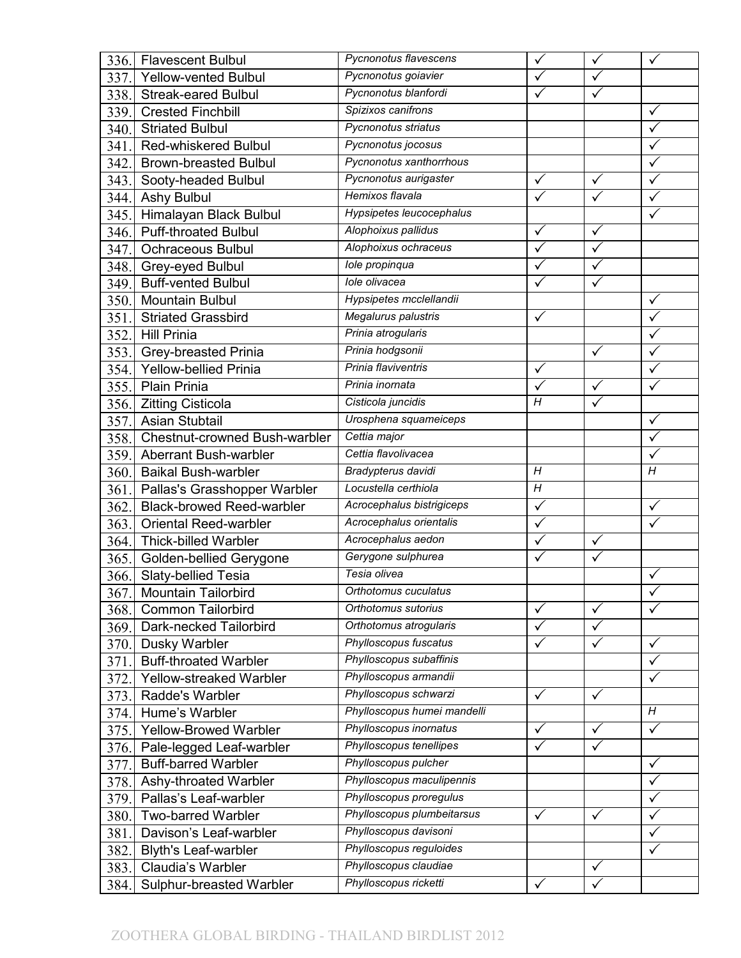| 336. | <b>Flavescent Bulbul</b>             | Pycnonotus flavescens       | ✓              | $\checkmark$ |                         |
|------|--------------------------------------|-----------------------------|----------------|--------------|-------------------------|
| 337. | <b>Yellow-vented Bulbul</b>          | Pycnonotus goiavier         | $\checkmark$   | $\checkmark$ |                         |
| 338. | <b>Streak-eared Bulbul</b>           | Pycnonotus blanfordi        |                | $\checkmark$ |                         |
| 339. | <b>Crested Finchbill</b>             | Spizixos canifrons          |                |              | ✓                       |
| 340. | <b>Striated Bulbul</b>               | Pycnonotus striatus         |                |              | $\overline{\checkmark}$ |
| 341. | <b>Red-whiskered Bulbul</b>          | Pycnonotus jocosus          |                |              | ✓                       |
| 342. | <b>Brown-breasted Bulbul</b>         | Pycnonotus xanthorrhous     |                |              | ✓                       |
| 343. | Sooty-headed Bulbul                  | Pycnonotus aurigaster       | $\checkmark$   | $\checkmark$ | $\checkmark$            |
| 344. | <b>Ashy Bulbul</b>                   | Hemixos flavala             |                |              |                         |
| 345. | Himalayan Black Bulbul               | Hypsipetes leucocephalus    |                |              | ✓                       |
| 346. | <b>Puff-throated Bulbul</b>          | Alophoixus pallidus         | $\checkmark$   | $\checkmark$ |                         |
| 347. | <b>Ochraceous Bulbul</b>             | Alophoixus ochraceus        | $\checkmark$   | $\checkmark$ |                         |
| 348. | Grey-eyed Bulbul                     | Iole propinqua              |                |              |                         |
| 349. | <b>Buff-vented Bulbul</b>            | lole olivacea               |                | $\checkmark$ |                         |
| 350. | <b>Mountain Bulbul</b>               | Hypsipetes mcclellandii     |                |              | $\checkmark$            |
| 351. | <b>Striated Grassbird</b>            | Megalurus palustris         | $\checkmark$   |              | $\checkmark$            |
| 352. | <b>Hill Prinia</b>                   | Prinia atrogularis          |                |              | ✓                       |
| 353. | Grey-breasted Prinia                 | Prinia hodgsonii            |                | $\checkmark$ | $\checkmark$            |
| 354. | <b>Yellow-bellied Prinia</b>         | Prinia flaviventris         | $\checkmark$   |              | $\checkmark$            |
| 355. | <b>Plain Prinia</b>                  | Prinia inornata             | $\checkmark$   | $\checkmark$ |                         |
| 356. | <b>Zitting Cisticola</b>             | Cisticola juncidis          | H              |              |                         |
| 357. | Asian Stubtail                       | Urosphena squameiceps       |                |              | $\checkmark$            |
| 358. | <b>Chestnut-crowned Bush-warbler</b> | Cettia major                |                |              | ✓                       |
| 359. | <b>Aberrant Bush-warbler</b>         | Cettia flavolivacea         |                |              |                         |
| 360. | <b>Baikal Bush-warbler</b>           | Bradypterus davidi          | H              |              | $\overline{H}$          |
| 361. | Pallas's Grasshopper Warbler         | Locustella certhiola        | $\overline{H}$ |              |                         |
| 362. | <b>Black-browed Reed-warbler</b>     | Acrocephalus bistrigiceps   | $\checkmark$   |              | $\checkmark$            |
| 363. | Oriental Reed-warbler                | Acrocephalus orientalis     |                |              |                         |
| 364. | Thick-billed Warbler                 | Acrocephalus aedon          |                | $\checkmark$ |                         |
| 365. | Golden-bellied Gerygone              | Gerygone sulphurea          | $\checkmark$   | $\sqrt{}$    |                         |
| 366. | Slaty-bellied Tesia                  | Tesia olivea                |                |              |                         |
| 367. | Mountain Tailorbird                  | Orthotomus cuculatus        |                |              |                         |
| 368. | <b>Common Tailorbird</b>             | Orthotomus sutorius         | $\checkmark$   | $\checkmark$ | $\sqrt{}$               |
| 369. | Dark-necked Tailorbird               | Orthotomus atrogularis      | ✓              | $\checkmark$ |                         |
| 370. | Dusky Warbler                        | Phylloscopus fuscatus       | $\checkmark$   | $\checkmark$ | $\checkmark$            |
| 371. | <b>Buff-throated Warbler</b>         | Phylloscopus subaffinis     |                |              | ✓                       |
| 372. | Yellow-streaked Warbler              | Phylloscopus armandii       |                |              | ✓                       |
| 373. | Radde's Warbler                      | Phylloscopus schwarzi       | $\checkmark$   | $\checkmark$ |                         |
| 374. | Hume's Warbler                       | Phylloscopus humei mandelli |                |              | Η                       |
| 375. | <b>Yellow-Browed Warbler</b>         | Phylloscopus inornatus      | $\checkmark$   | $\checkmark$ | $\checkmark$            |
| 376. | Pale-legged Leaf-warbler             | Phylloscopus tenellipes     | $\checkmark$   | $\checkmark$ |                         |
| 377. | <b>Buff-barred Warbler</b>           | Phylloscopus pulcher        |                |              | ✓                       |
| 378. | Ashy-throated Warbler                | Phylloscopus maculipennis   |                |              | $\checkmark$            |
| 379. | Pallas's Leaf-warbler                | Phylloscopus proregulus     |                |              | ✓                       |
| 380. | <b>Two-barred Warbler</b>            | Phylloscopus plumbeitarsus  | $\checkmark$   | $\checkmark$ | ✓                       |
| 381. | Davison's Leaf-warbler               | Phylloscopus davisoni       |                |              | $\checkmark$            |
| 382. | <b>Blyth's Leaf-warbler</b>          | Phylloscopus reguloides     |                |              | ✓                       |
| 383. | Claudia's Warbler                    | Phylloscopus claudiae       |                | $\checkmark$ |                         |
| 384. | Sulphur-breasted Warbler             | Phylloscopus ricketti       | $\checkmark$   | $\checkmark$ |                         |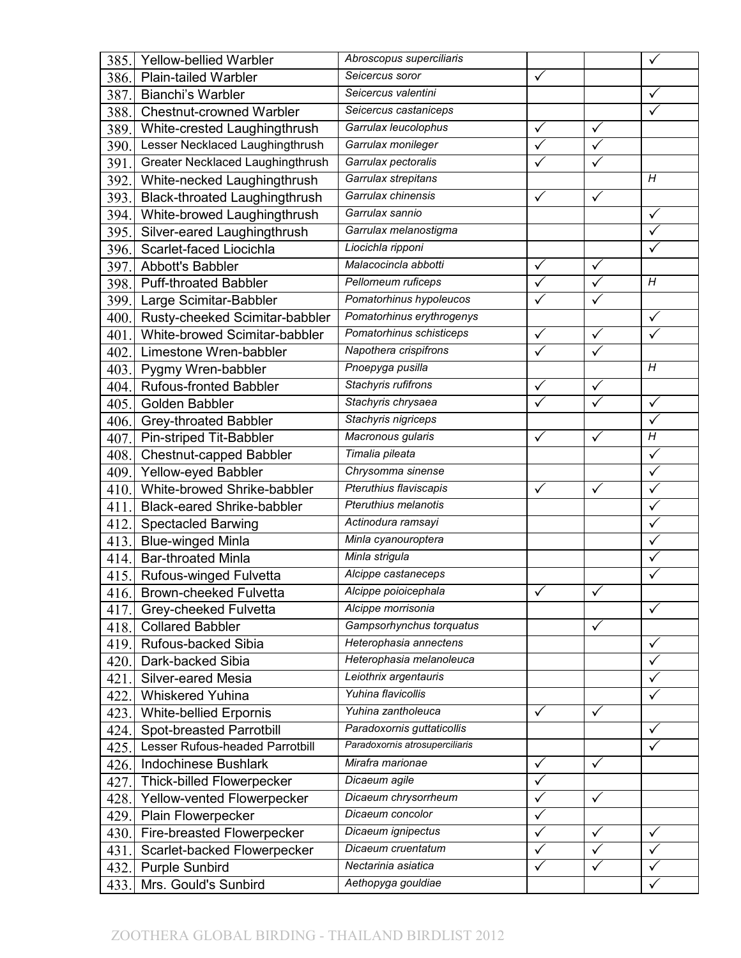| 385. | <b>Yellow-bellied Warbler</b>        | Abroscopus superciliaris       |              |              |                |
|------|--------------------------------------|--------------------------------|--------------|--------------|----------------|
| 386. | <b>Plain-tailed Warbler</b>          | Seicercus soror                | $\checkmark$ |              |                |
| 387. | Bianchi's Warbler                    | Seicercus valentini            |              |              | ✓              |
| 388. | <b>Chestnut-crowned Warbler</b>      | Seicercus castaniceps          |              |              |                |
| 389. | White-crested Laughingthrush         | Garrulax leucolophus           | $\checkmark$ | $\checkmark$ |                |
| 390. | Lesser Necklaced Laughingthrush      | Garrulax monileger             |              | $\checkmark$ |                |
| 391. | Greater Necklaced Laughingthrush     | Garrulax pectoralis            |              | ✓            |                |
| 392. | White-necked Laughingthrush          | Garrulax strepitans            |              |              | H              |
| 393. | <b>Black-throated Laughingthrush</b> | Garrulax chinensis             | ✓            | ✓            |                |
| 394. | White-browed Laughingthrush          | Garrulax sannio                |              |              | $\checkmark$   |
| 395. | Silver-eared Laughingthrush          | Garrulax melanostigma          |              |              | $\checkmark$   |
| 396. | Scarlet-faced Liocichla              | Liocichla ripponi              |              |              |                |
| 397. | Abbott's Babbler                     | Malacocincla abbotti           | ✓            | $\checkmark$ |                |
| 398. | <b>Puff-throated Babbler</b>         | Pellorneum ruficeps            |              | $\checkmark$ | H              |
| 399. | Large Scimitar-Babbler               | Pomatorhinus hypoleucos        | $\checkmark$ | $\checkmark$ |                |
| 400. | Rusty-cheeked Scimitar-babbler       | Pomatorhinus erythrogenys      |              |              | $\checkmark$   |
| 401. | White-browed Scimitar-babbler        | Pomatorhinus schisticeps       | ✓            | $\checkmark$ | ✓              |
| 402. | Limestone Wren-babbler               | Napothera crispifrons          |              | $\checkmark$ |                |
| 403. | Pygmy Wren-babbler                   | Pnoepyga pusilla               |              |              | H              |
| 404. | <b>Rufous-fronted Babbler</b>        | Stachyris rufifrons            | ✓            | $\checkmark$ |                |
| 405. | Golden Babbler                       | Stachyris chrysaea             |              | $\checkmark$ | $\checkmark$   |
| 406. | Grey-throated Babbler                | Stachyris nigriceps            |              |              | $\checkmark$   |
| 407. | Pin-striped Tit-Babbler              | Macronous gularis              | ✓            | ✓            | $\overline{H}$ |
| 408. | Chestnut-capped Babbler              | Timalia pileata                |              |              | $\checkmark$   |
| 409. | Yellow-eyed Babbler                  | Chrysomma sinense              |              |              | $\checkmark$   |
| 410. | White-browed Shrike-babbler          | Pteruthius flaviscapis         | $\checkmark$ | $\checkmark$ | $\checkmark$   |
| 411. | <b>Black-eared Shrike-babbler</b>    | Pteruthius melanotis           |              |              | $\checkmark$   |
| 412. | <b>Spectacled Barwing</b>            | Actinodura ramsayi             |              |              |                |
| 413. | <b>Blue-winged Minla</b>             | Minla cyanouroptera            |              |              | ✓              |
| 414. | <b>Bar-throated Minla</b>            | Minla strigula                 |              |              |                |
| 415. | Rufous-winged Fulvetta               | Alcippe castaneceps            |              |              |                |
| 416. | Brown-cheeked Fulvetta               | Alcippe poioicephala           | ✓            |              |                |
| 417. | Grey-cheeked Fulvetta                | Alcippe morrisonia             |              |              | $\checkmark$   |
| 418. | <b>Collared Babbler</b>              | Gampsorhynchus torquatus       |              | $\checkmark$ |                |
| 419. | Rufous-backed Sibia                  | Heterophasia annectens         |              |              | $\checkmark$   |
| 420. | Dark-backed Sibia                    | Heterophasia melanoleuca       |              |              | ✓              |
| 421. | Silver-eared Mesia                   | Leiothrix argentauris          |              |              | ✓              |
| 422. | <b>Whiskered Yuhina</b>              | Yuhina flavicollis             |              |              | $\checkmark$   |
| 423. | White-bellied Erpornis               | Yuhina zantholeuca             |              |              |                |
| 424. | Spot-breasted Parrotbill             | Paradoxornis guttaticollis     |              |              | $\checkmark$   |
| 425. | Lesser Rufous-headed Parrotbill      | Paradoxornis atrosuperciliaris |              |              | $\checkmark$   |
| 426. | <b>Indochinese Bushlark</b>          | Mirafra marionae               | ✓            | ✓            |                |
| 427. | <b>Thick-billed Flowerpecker</b>     | Dicaeum agile                  |              |              |                |
| 428. | Yellow-vented Flowerpecker           | Dicaeum chrysorrheum           |              | $\checkmark$ |                |
| 429. | Plain Flowerpecker                   | Dicaeum concolor               | ✓            |              |                |
| 430. | Fire-breasted Flowerpecker           | Dicaeum ignipectus             | $\checkmark$ | $\checkmark$ | $\checkmark$   |
| 431. | Scarlet-backed Flowerpecker          | Dicaeum cruentatum             |              | ✓            | ✓              |
| 432. | <b>Purple Sunbird</b>                | Nectarinia asiatica            | $\checkmark$ | ✓            | ✓              |
| 433. | Mrs. Gould's Sunbird                 | Aethopyga gouldiae             |              |              | $\checkmark$   |